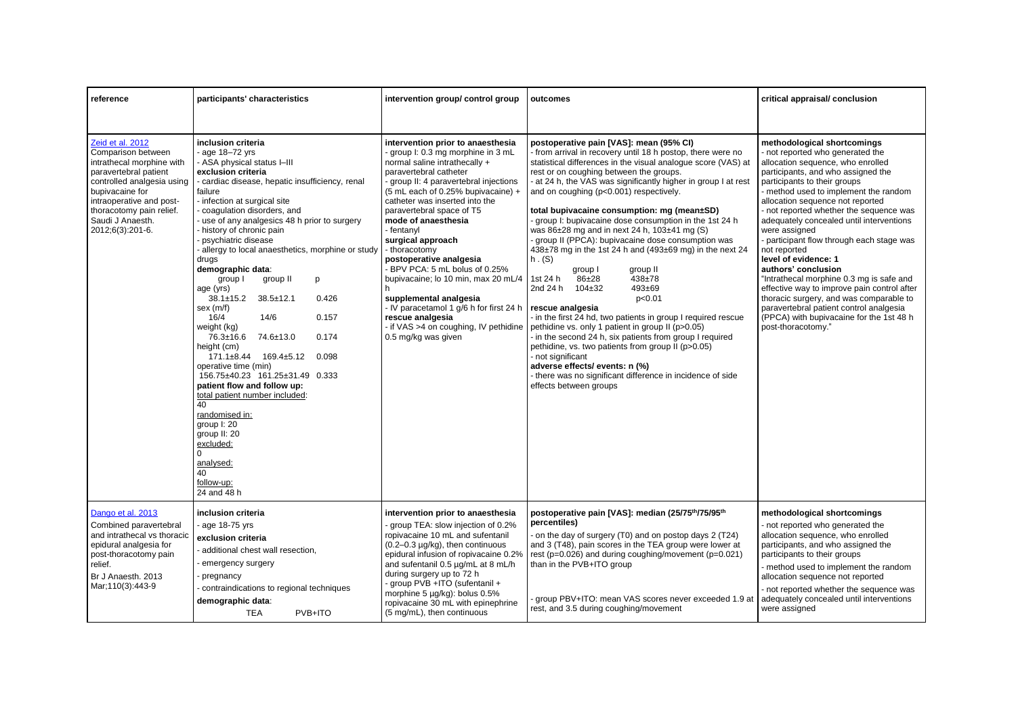| reference                                                                                                                                                                                                                                     | participants' characteristics                                                                                                                                                                                                                                                                                                                                                                                                                                                                                                                                                                                                                                                                                                                                                                                                                                                            | intervention group/ control group                                                                                                                                                                                                                                                                                                                                                                                                                                                                                                                                                                                   | outcomes                                                                                                                                                                                                                                                                                                                                                                                                                                                                                                                                                                                                                                                                                                                                                                                                                                                                                                                                                                                                                                                                                                                                 | critical appraisal/ conclusion                                                                                                                                                                                                                                                                                                                                                                                                                                                                                                                                                                                                                                                                                                 |
|-----------------------------------------------------------------------------------------------------------------------------------------------------------------------------------------------------------------------------------------------|------------------------------------------------------------------------------------------------------------------------------------------------------------------------------------------------------------------------------------------------------------------------------------------------------------------------------------------------------------------------------------------------------------------------------------------------------------------------------------------------------------------------------------------------------------------------------------------------------------------------------------------------------------------------------------------------------------------------------------------------------------------------------------------------------------------------------------------------------------------------------------------|---------------------------------------------------------------------------------------------------------------------------------------------------------------------------------------------------------------------------------------------------------------------------------------------------------------------------------------------------------------------------------------------------------------------------------------------------------------------------------------------------------------------------------------------------------------------------------------------------------------------|------------------------------------------------------------------------------------------------------------------------------------------------------------------------------------------------------------------------------------------------------------------------------------------------------------------------------------------------------------------------------------------------------------------------------------------------------------------------------------------------------------------------------------------------------------------------------------------------------------------------------------------------------------------------------------------------------------------------------------------------------------------------------------------------------------------------------------------------------------------------------------------------------------------------------------------------------------------------------------------------------------------------------------------------------------------------------------------------------------------------------------------|--------------------------------------------------------------------------------------------------------------------------------------------------------------------------------------------------------------------------------------------------------------------------------------------------------------------------------------------------------------------------------------------------------------------------------------------------------------------------------------------------------------------------------------------------------------------------------------------------------------------------------------------------------------------------------------------------------------------------------|
| Zeid et al. 2012<br>Comparison between<br>intrathecal morphine with<br>paravertebral patient<br>controlled analgesia using<br>bupivacaine for<br>intraoperative and post-<br>thoracotomy pain relief.<br>Saudi J Anaesth.<br>2012;6(3):201-6. | inclusion criteria<br>age 18-72 yrs<br>- ASA physical status I-III<br>exclusion criteria<br>- cardiac disease, hepatic insufficiency, renal<br>failure<br>- infection at surgical site<br>coagulation disorders, and<br>use of any analgesics 48 h prior to surgery<br>history of chronic pain<br>psychiatric disease<br>allergy to local anaesthetics, morphine or study<br>drugs<br>demographic data:<br>group I<br>group II<br>p<br>age (yrs)<br>$38.1 \pm 15.2$<br>0.426<br>$38.5 \pm 12.1$<br>sex (m/f)<br>16/4<br>14/6<br>0.157<br>weight (kg)<br>76.3±16.6<br>74.6±13.0<br>0.174<br>height (cm)<br>171.1±8.44 169.4±5.12<br>0.098<br>operative time (min)<br>156.75±40.23 161.25±31.49 0.333<br>patient flow and follow up:<br>total patient number included:<br>40<br>randomised in:<br>group I: 20<br>group II: 20<br>excluded:<br>analysed:<br>40<br>follow-up:<br>24 and 48 h | intervention prior to anaesthesia<br>group I: 0.3 mg morphine in 3 mL<br>normal saline intrathecally +<br>paravertebral catheter<br>group II: 4 paravertebral injections<br>(5 mL each of 0.25% bupivacaine) +<br>catheter was inserted into the<br>paravertebral space of T5<br>mode of anaesthesia<br>- fentanyl<br>surgical approach<br>- thoracotomy<br>postoperative analgesia<br>BPV PCA: 5 mL bolus of 0.25%<br>bupivacaine; lo 10 min, max 20 mL/4<br>supplemental analgesia<br>- IV paracetamol 1 g/6 h for first 24 h<br>rescue analgesia<br>- if VAS >4 on coughing, IV pethidine<br>0.5 mg/kg was given | postoperative pain [VAS]: mean (95% CI)<br>- from arrival in recovery until 18 h postop, there were no<br>statistical differences in the visual analogue score (VAS) at<br>rest or on coughing between the groups.<br>- at 24 h, the VAS was significantly higher in group I at rest<br>and on coughing (p<0.001) respectively.<br>total bupivacaine consumption: mg (mean±SD)<br>- group I: bupivacaine dose consumption in the 1st 24 h<br>was 86±28 mg and in next 24 h, 103±41 mg (S)<br>- group II (PPCA): bupivacaine dose consumption was<br>438±78 mg in the 1st 24 h and (493±69 mg) in the next 24<br>h. (S)<br>group I<br>group II<br>$86 + 28$<br>$438 + 78$<br>1st 24 h<br>2nd 24 h 104±32<br>$493 + 69$<br>p<0.01<br>rescue analgesia<br>- in the first 24 hd, two patients in group I required rescue<br>pethidine vs. only 1 patient in group II (p>0.05)<br>in the second 24 h, six patients from group I required<br>pethidine, vs. two patients from group II (p>0.05)<br>- not significant<br>adverse effects/ events: n (%)<br>- there was no significant difference in incidence of side<br>effects between groups | methodological shortcomings<br>- not reported who generated the<br>allocation sequence, who enrolled<br>participants, and who assigned the<br>participants to their groups<br>- method used to implement the random<br>allocation sequence not reported<br>- not reported whether the sequence was<br>adequately concealed until interventions<br>were assigned<br>- participant flow through each stage was<br>not reported<br>level of evidence: 1<br>authors' conclusion<br>"Intrathecal morphine 0.3 mg is safe and<br>effective way to improve pain control after<br>thoracic surgery, and was comparable to<br>paravertebral patient control analgesia<br>(PPCA) with bupivacaine for the 1st 48 h<br>post-thoracotomy." |
| Dango et al. 2013<br>Combined paravertebral<br>and intrathecal vs thoracic<br>epidural analgesia for<br>post-thoracotomy pain<br>relief.<br>Br J Anaesth, 2013<br>Mar: 110(3): 443-9                                                          | inclusion criteria<br>- age 18-75 yrs<br>exclusion criteria<br>additional chest wall resection,<br>emergency surgery<br>pregnancy<br>contraindications to regional techniques<br>demographic data:<br><b>TEA</b><br>PVB+ITO                                                                                                                                                                                                                                                                                                                                                                                                                                                                                                                                                                                                                                                              | intervention prior to anaesthesia<br>group TEA: slow injection of 0.2%<br>ropivacaine 10 mL and sufentanil<br>$(0.2 - 0.3 \mu g/kg)$ , then continuous<br>epidural infusion of ropivacaine 0.2%<br>and sufentanil 0.5 µg/mL at 8 mL/h<br>during surgery up to 72 h<br>- group PVB +ITO (sufentanil +<br>morphine 5 µg/kg): bolus 0.5%<br>ropivacaine 30 mL with epinephrine<br>(5 mg/mL), then continuous                                                                                                                                                                                                           | postoperative pain [VAS]: median (25/75th/75/95th<br>percentiles)<br>- on the day of surgery (T0) and on postop days 2 (T24)<br>and 3 (T48), pain scores in the TEA group were lower at<br>rest ( $p=0.026$ ) and during coughing/movement ( $p=0.021$ )<br>than in the PVB+ITO group<br>group PBV+ITO: mean VAS scores never exceeded 1.9 at<br>rest, and 3.5 during coughing/movement                                                                                                                                                                                                                                                                                                                                                                                                                                                                                                                                                                                                                                                                                                                                                  | methodological shortcomings<br>- not reported who generated the<br>allocation sequence, who enrolled<br>participants, and who assigned the<br>participants to their groups<br>- method used to implement the random<br>allocation sequence not reported<br>- not reported whether the sequence was<br>adequately concealed until interventions<br>were assigned                                                                                                                                                                                                                                                                                                                                                                |